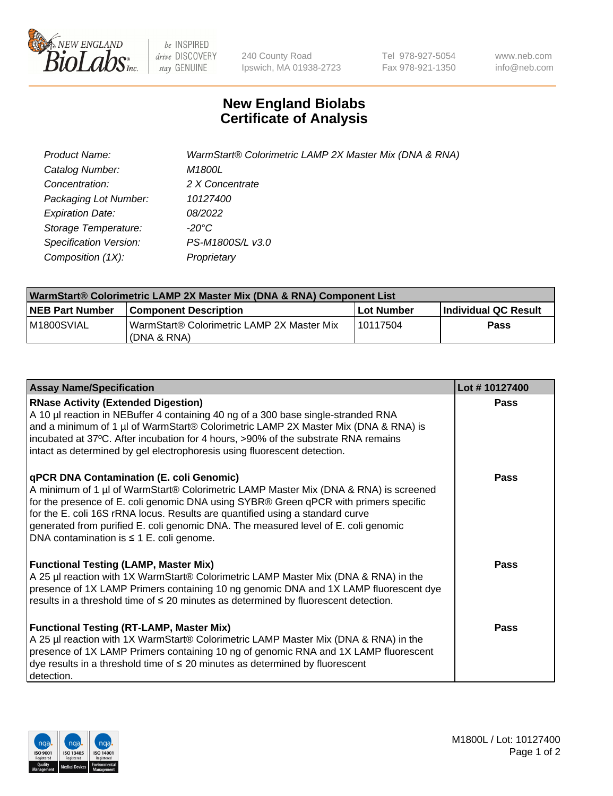

be INSPIRED drive DISCOVERY stay GENUINE

240 County Road Ipswich, MA 01938-2723 Tel 978-927-5054 Fax 978-921-1350 www.neb.com info@neb.com

## **New England Biolabs Certificate of Analysis**

| Product Name:           | WarmStart® Colorimetric LAMP 2X Master Mix (DNA & RNA) |
|-------------------------|--------------------------------------------------------|
| Catalog Number:         | M1800L                                                 |
| Concentration:          | 2 X Concentrate                                        |
| Packaging Lot Number:   | 10127400                                               |
| <b>Expiration Date:</b> | 08/2022                                                |
| Storage Temperature:    | -20°C                                                  |
| Specification Version:  | PS-M1800S/L v3.0                                       |
| Composition (1X):       | Proprietary                                            |

| WarmStart® Colorimetric LAMP 2X Master Mix (DNA & RNA) Component List |                                                              |            |                             |  |
|-----------------------------------------------------------------------|--------------------------------------------------------------|------------|-----------------------------|--|
| <b>NEB Part Number</b>                                                | <b>Component Description</b>                                 | Lot Number | <b>Individual QC Result</b> |  |
| M1800SVIAL                                                            | WarmStart® Colorimetric LAMP 2X Master Mix<br>l (DNA & RNA). | 10117504   | <b>Pass</b>                 |  |

| <b>Assay Name/Specification</b>                                                                                                                                                                                                                                                                                                                                                                                                                  | Lot #10127400 |
|--------------------------------------------------------------------------------------------------------------------------------------------------------------------------------------------------------------------------------------------------------------------------------------------------------------------------------------------------------------------------------------------------------------------------------------------------|---------------|
| <b>RNase Activity (Extended Digestion)</b><br>A 10 µl reaction in NEBuffer 4 containing 40 ng of a 300 base single-stranded RNA<br>and a minimum of 1 µl of WarmStart® Colorimetric LAMP 2X Master Mix (DNA & RNA) is<br>incubated at 37°C. After incubation for 4 hours, >90% of the substrate RNA remains<br>intact as determined by gel electrophoresis using fluorescent detection.                                                          | <b>Pass</b>   |
| qPCR DNA Contamination (E. coli Genomic)<br>A minimum of 1 µl of WarmStart® Colorimetric LAMP Master Mix (DNA & RNA) is screened<br>for the presence of E. coli genomic DNA using SYBR® Green qPCR with primers specific<br>for the E. coli 16S rRNA locus. Results are quantified using a standard curve<br>generated from purified E. coli genomic DNA. The measured level of E. coli genomic<br>DNA contamination is $\leq$ 1 E. coli genome. | Pass          |
| <b>Functional Testing (LAMP, Master Mix)</b><br>A 25 µl reaction with 1X WarmStart® Colorimetric LAMP Master Mix (DNA & RNA) in the<br>presence of 1X LAMP Primers containing 10 ng genomic DNA and 1X LAMP fluorescent dye<br>results in a threshold time of $\leq$ 20 minutes as determined by fluorescent detection.                                                                                                                          | Pass          |
| <b>Functional Testing (RT-LAMP, Master Mix)</b><br>A 25 µl reaction with 1X WarmStart® Colorimetric LAMP Master Mix (DNA & RNA) in the<br>presence of 1X LAMP Primers containing 10 ng of genomic RNA and 1X LAMP fluorescent<br>dye results in a threshold time of $\leq$ 20 minutes as determined by fluorescent<br>detection.                                                                                                                 | Pass          |